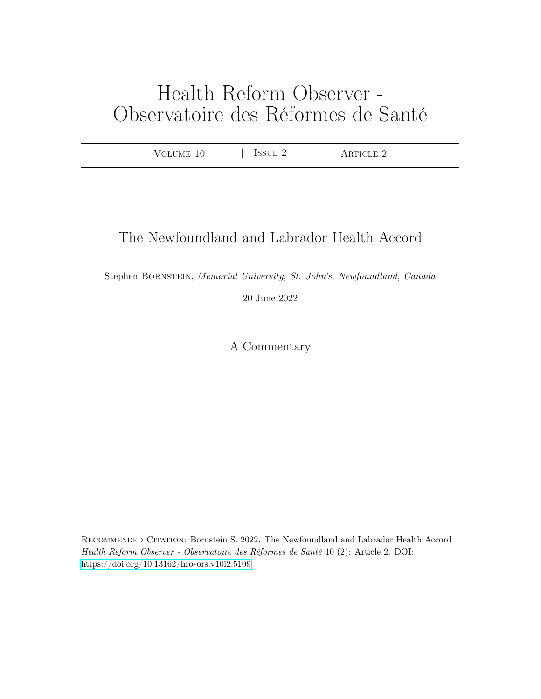# Health Reform Observer - Observatoire des Réformes de Santé

| JIME.<br>∸<br>.<br>$\cdots$<br>ີ | T<br>н.<br>-<br><b>Property</b><br>ᆂᇦ | $\cap$ F.<br>ு. |  |
|----------------------------------|---------------------------------------|-----------------|--|
|                                  |                                       |                 |  |

## The Newfoundland and Labrador Health Accord

Stephen Bornstein, Memorial University, St. John's, Newfoundland, Canada

20 June 2022

A Commentary

Recommended Citation: Bornstein S. 2022. The Newfoundland and Labrador Health Accord Health Reform Observer - Observatoire des Réformes de Santé 10 (2): Article 2. DOI: <https://doi.org/10.13162/hro-ors.v10i2.5109>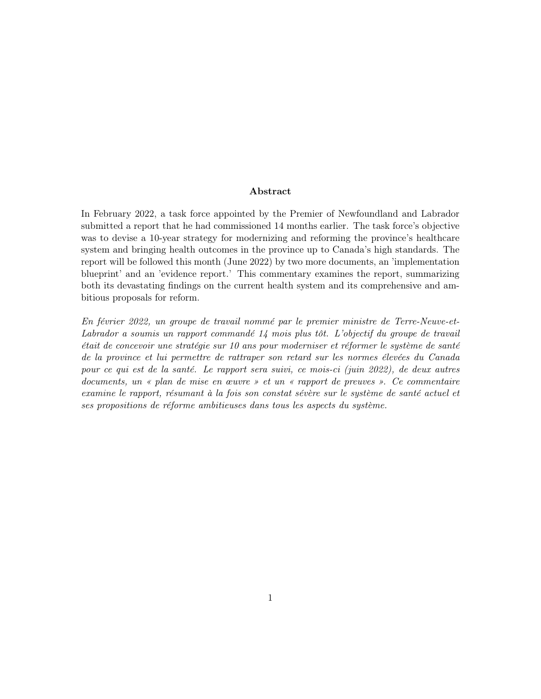#### Abstract

In February 2022, a task force appointed by the Premier of Newfoundland and Labrador submitted a report that he had commissioned 14 months earlier. The task force's objective was to devise a 10-year strategy for modernizing and reforming the province's healthcare system and bringing health outcomes in the province up to Canada's high standards. The report will be followed this month (June 2022) by two more documents, an 'implementation blueprint' and an 'evidence report.' This commentary examines the report, summarizing both its devastating findings on the current health system and its comprehensive and ambitious proposals for reform.

En février 2022, un groupe de travail nommé par le premier ministre de Terre-Neuve-et-Labrador a soumis un rapport commandé 14 mois plus tôt. L'objectif du groupe de travail était de concevoir une stratégie sur 10 ans pour moderniser et réformer le système de santé de la province et lui permettre de rattraper son retard sur les normes élevées du Canada pour ce qui est de la santé. Le rapport sera suivi, ce mois-ci (juin 2022), de deux autres documents, un « plan de mise en œuvre » et un « rapport de preuves ». Ce commentaire examine le rapport, résumant à la fois son constat sévère sur le système de santé actuel et ses propositions de réforme ambitieuses dans tous les aspects du système.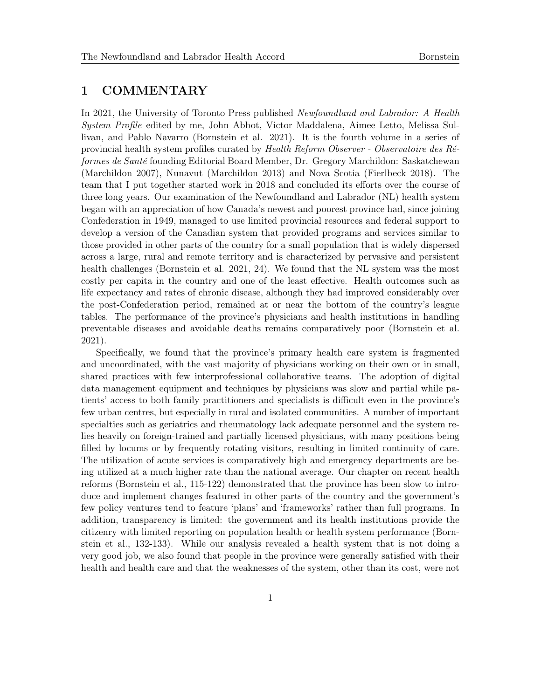### 1 COMMENTARY

In 2021, the University of Toronto Press published Newfoundland and Labrador: A Health System Profile edited by me, John Abbot, Victor Maddalena, Aimee Letto, Melissa Sullivan, and Pablo Navarro (Bornstein et al. 2021). It is the fourth volume in a series of provincial health system profiles curated by Health Reform Observer - Observatoire des Réformes de Santé founding Editorial Board Member, Dr. Gregory Marchildon: Saskatchewan (Marchildon 2007), Nunavut (Marchildon 2013) and Nova Scotia (Fierlbeck 2018). The team that I put together started work in 2018 and concluded its efforts over the course of three long years. Our examination of the Newfoundland and Labrador (NL) health system began with an appreciation of how Canada's newest and poorest province had, since joining Confederation in 1949, managed to use limited provincial resources and federal support to develop a version of the Canadian system that provided programs and services similar to those provided in other parts of the country for a small population that is widely dispersed across a large, rural and remote territory and is characterized by pervasive and persistent health challenges (Bornstein et al. 2021, 24). We found that the NL system was the most costly per capita in the country and one of the least effective. Health outcomes such as life expectancy and rates of chronic disease, although they had improved considerably over the post-Confederation period, remained at or near the bottom of the country's league tables. The performance of the province's physicians and health institutions in handling preventable diseases and avoidable deaths remains comparatively poor (Bornstein et al. 2021).

Specifically, we found that the province's primary health care system is fragmented and uncoordinated, with the vast majority of physicians working on their own or in small, shared practices with few interprofessional collaborative teams. The adoption of digital data management equipment and techniques by physicians was slow and partial while patients' access to both family practitioners and specialists is difficult even in the province's few urban centres, but especially in rural and isolated communities. A number of important specialties such as geriatrics and rheumatology lack adequate personnel and the system relies heavily on foreign-trained and partially licensed physicians, with many positions being filled by locums or by frequently rotating visitors, resulting in limited continuity of care. The utilization of acute services is comparatively high and emergency departments are being utilized at a much higher rate than the national average. Our chapter on recent health reforms (Bornstein et al., 115-122) demonstrated that the province has been slow to introduce and implement changes featured in other parts of the country and the government's few policy ventures tend to feature 'plans' and 'frameworks' rather than full programs. In addition, transparency is limited: the government and its health institutions provide the citizenry with limited reporting on population health or health system performance (Bornstein et al., 132-133). While our analysis revealed a health system that is not doing a very good job, we also found that people in the province were generally satisfied with their health and health care and that the weaknesses of the system, other than its cost, were not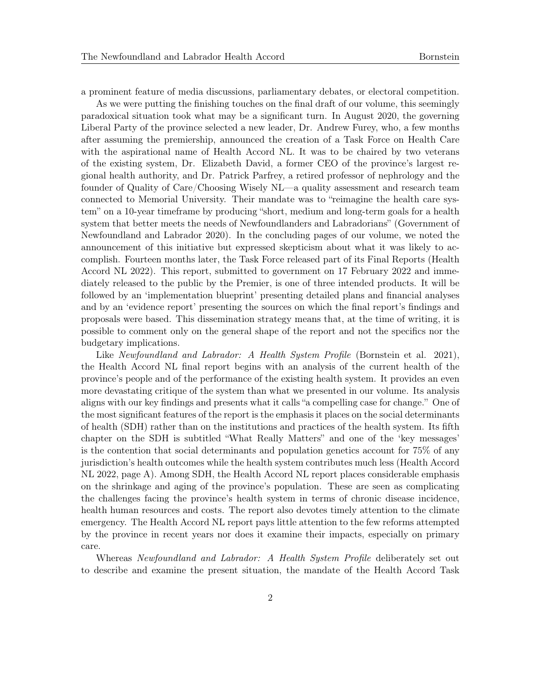a prominent feature of media discussions, parliamentary debates, or electoral competition.

As we were putting the finishing touches on the final draft of our volume, this seemingly paradoxical situation took what may be a significant turn. In August 2020, the governing Liberal Party of the province selected a new leader, Dr. Andrew Furey, who, a few months after assuming the premiership, announced the creation of a Task Force on Health Care with the aspirational name of Health Accord NL. It was to be chaired by two veterans of the existing system, Dr. Elizabeth David, a former CEO of the province's largest regional health authority, and Dr. Patrick Parfrey, a retired professor of nephrology and the founder of Quality of Care/Choosing Wisely NL—a quality assessment and research team connected to Memorial University. Their mandate was to "reimagine the health care system" on a 10-year timeframe by producing "short, medium and long-term goals for a health system that better meets the needs of Newfoundlanders and Labradorians" (Government of Newfoundland and Labrador 2020). In the concluding pages of our volume, we noted the announcement of this initiative but expressed skepticism about what it was likely to accomplish. Fourteen months later, the Task Force released part of its Final Reports (Health Accord NL 2022). This report, submitted to government on 17 February 2022 and immediately released to the public by the Premier, is one of three intended products. It will be followed by an 'implementation blueprint' presenting detailed plans and financial analyses and by an 'evidence report' presenting the sources on which the final report's findings and proposals were based. This dissemination strategy means that, at the time of writing, it is possible to comment only on the general shape of the report and not the specifics nor the budgetary implications.

Like Newfoundland and Labrador: A Health System Profile (Bornstein et al. 2021), the Health Accord NL final report begins with an analysis of the current health of the province's people and of the performance of the existing health system. It provides an even more devastating critique of the system than what we presented in our volume. Its analysis aligns with our key findings and presents what it calls "a compelling case for change." One of the most significant features of the report is the emphasis it places on the social determinants of health (SDH) rather than on the institutions and practices of the health system. Its fifth chapter on the SDH is subtitled "What Really Matters" and one of the 'key messages' is the contention that social determinants and population genetics account for 75% of any jurisdiction's health outcomes while the health system contributes much less (Health Accord NL 2022, page A). Among SDH, the Health Accord NL report places considerable emphasis on the shrinkage and aging of the province's population. These are seen as complicating the challenges facing the province's health system in terms of chronic disease incidence, health human resources and costs. The report also devotes timely attention to the climate emergency. The Health Accord NL report pays little attention to the few reforms attempted by the province in recent years nor does it examine their impacts, especially on primary care.

Whereas Newfoundland and Labrador: A Health System Profile deliberately set out to describe and examine the present situation, the mandate of the Health Accord Task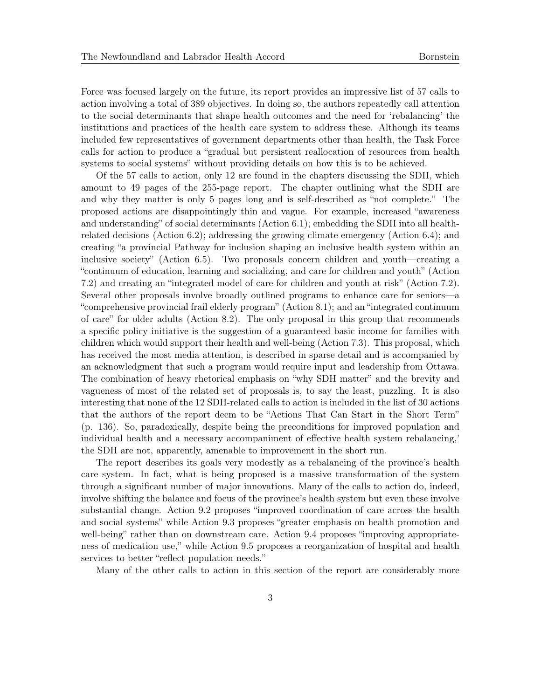Force was focused largely on the future, its report provides an impressive list of 57 calls to action involving a total of 389 objectives. In doing so, the authors repeatedly call attention to the social determinants that shape health outcomes and the need for 'rebalancing' the institutions and practices of the health care system to address these. Although its teams included few representatives of government departments other than health, the Task Force calls for action to produce a "gradual but persistent reallocation of resources from health systems to social systems" without providing details on how this is to be achieved.

Of the 57 calls to action, only 12 are found in the chapters discussing the SDH, which amount to 49 pages of the 255-page report. The chapter outlining what the SDH are and why they matter is only 5 pages long and is self-described as "not complete." The proposed actions are disappointingly thin and vague. For example, increased "awareness and understanding" of social determinants (Action 6.1); embedding the SDH into all healthrelated decisions (Action 6.2); addressing the growing climate emergency (Action 6.4); and creating "a provincial Pathway for inclusion shaping an inclusive health system within an inclusive society" (Action 6.5). Two proposals concern children and youth—creating a "continuum of education, learning and socializing, and care for children and youth" (Action 7.2) and creating an "integrated model of care for children and youth at risk" (Action 7.2). Several other proposals involve broadly outlined programs to enhance care for seniors—a "comprehensive provincial frail elderly program" (Action 8.1); and an "integrated continuum of care" for older adults (Action 8.2). The only proposal in this group that recommends a specific policy initiative is the suggestion of a guaranteed basic income for families with children which would support their health and well-being (Action 7.3). This proposal, which has received the most media attention, is described in sparse detail and is accompanied by an acknowledgment that such a program would require input and leadership from Ottawa. The combination of heavy rhetorical emphasis on "why SDH matter" and the brevity and vagueness of most of the related set of proposals is, to say the least, puzzling. It is also interesting that none of the 12 SDH-related calls to action is included in the list of 30 actions that the authors of the report deem to be "Actions That Can Start in the Short Term" (p. 136). So, paradoxically, despite being the preconditions for improved population and individual health and a necessary accompaniment of effective health system rebalancing,' the SDH are not, apparently, amenable to improvement in the short run.

The report describes its goals very modestly as a rebalancing of the province's health care system. In fact, what is being proposed is a massive transformation of the system through a significant number of major innovations. Many of the calls to action do, indeed, involve shifting the balance and focus of the province's health system but even these involve substantial change. Action 9.2 proposes "improved coordination of care across the health and social systems" while Action 9.3 proposes "greater emphasis on health promotion and well-being" rather than on downstream care. Action 9.4 proposes "improving appropriateness of medication use," while Action 9.5 proposes a reorganization of hospital and health services to better "reflect population needs."

Many of the other calls to action in this section of the report are considerably more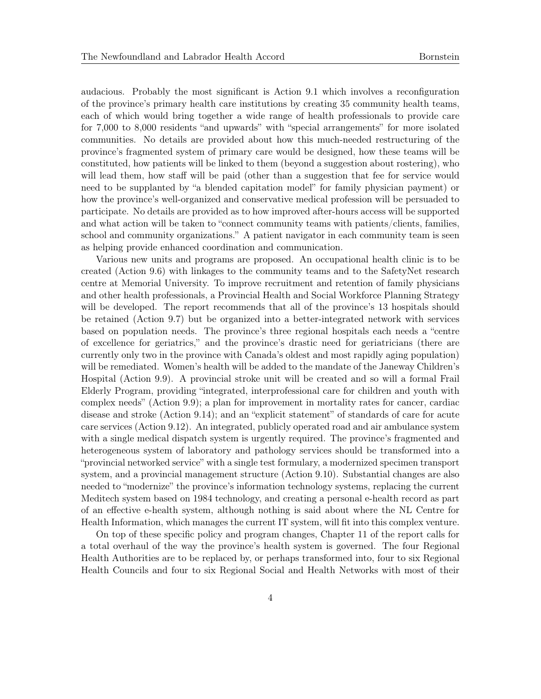audacious. Probably the most significant is Action 9.1 which involves a reconfiguration of the province's primary health care institutions by creating 35 community health teams, each of which would bring together a wide range of health professionals to provide care for 7,000 to 8,000 residents "and upwards" with "special arrangements" for more isolated communities. No details are provided about how this much-needed restructuring of the province's fragmented system of primary care would be designed, how these teams will be constituted, how patients will be linked to them (beyond a suggestion about rostering), who will lead them, how staff will be paid (other than a suggestion that fee for service would need to be supplanted by "a blended capitation model" for family physician payment) or how the province's well-organized and conservative medical profession will be persuaded to participate. No details are provided as to how improved after-hours access will be supported and what action will be taken to "connect community teams with patients/clients, families, school and community organizations." A patient navigator in each community team is seen as helping provide enhanced coordination and communication.

Various new units and programs are proposed. An occupational health clinic is to be created (Action 9.6) with linkages to the community teams and to the SafetyNet research centre at Memorial University. To improve recruitment and retention of family physicians and other health professionals, a Provincial Health and Social Workforce Planning Strategy will be developed. The report recommends that all of the province's 13 hospitals should be retained (Action 9.7) but be organized into a better-integrated network with services based on population needs. The province's three regional hospitals each needs a "centre of excellence for geriatrics," and the province's drastic need for geriatricians (there are currently only two in the province with Canada's oldest and most rapidly aging population) will be remediated. Women's health will be added to the mandate of the Janeway Children's Hospital (Action 9.9). A provincial stroke unit will be created and so will a formal Frail Elderly Program, providing "integrated, interprofessional care for children and youth with complex needs" (Action 9.9); a plan for improvement in mortality rates for cancer, cardiac disease and stroke (Action 9.14); and an "explicit statement" of standards of care for acute care services (Action 9.12). An integrated, publicly operated road and air ambulance system with a single medical dispatch system is urgently required. The province's fragmented and heterogeneous system of laboratory and pathology services should be transformed into a "provincial networked service" with a single test formulary, a modernized specimen transport system, and a provincial management structure (Action 9.10). Substantial changes are also needed to "modernize" the province's information technology systems, replacing the current Meditech system based on 1984 technology, and creating a personal e-health record as part of an effective e-health system, although nothing is said about where the NL Centre for Health Information, which manages the current IT system, will fit into this complex venture.

On top of these specific policy and program changes, Chapter 11 of the report calls for a total overhaul of the way the province's health system is governed. The four Regional Health Authorities are to be replaced by, or perhaps transformed into, four to six Regional Health Councils and four to six Regional Social and Health Networks with most of their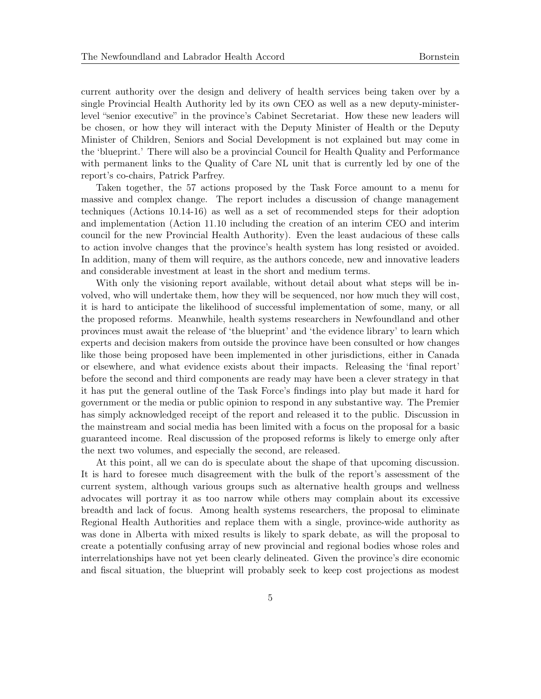current authority over the design and delivery of health services being taken over by a single Provincial Health Authority led by its own CEO as well as a new deputy-ministerlevel "senior executive" in the province's Cabinet Secretariat. How these new leaders will be chosen, or how they will interact with the Deputy Minister of Health or the Deputy Minister of Children, Seniors and Social Development is not explained but may come in the 'blueprint.' There will also be a provincial Council for Health Quality and Performance with permanent links to the Quality of Care NL unit that is currently led by one of the report's co-chairs, Patrick Parfrey.

Taken together, the 57 actions proposed by the Task Force amount to a menu for massive and complex change. The report includes a discussion of change management techniques (Actions 10.14-16) as well as a set of recommended steps for their adoption and implementation (Action 11.10 including the creation of an interim CEO and interim council for the new Provincial Health Authority). Even the least audacious of these calls to action involve changes that the province's health system has long resisted or avoided. In addition, many of them will require, as the authors concede, new and innovative leaders and considerable investment at least in the short and medium terms.

With only the visioning report available, without detail about what steps will be involved, who will undertake them, how they will be sequenced, nor how much they will cost, it is hard to anticipate the likelihood of successful implementation of some, many, or all the proposed reforms. Meanwhile, health systems researchers in Newfoundland and other provinces must await the release of 'the blueprint' and 'the evidence library' to learn which experts and decision makers from outside the province have been consulted or how changes like those being proposed have been implemented in other jurisdictions, either in Canada or elsewhere, and what evidence exists about their impacts. Releasing the 'final report' before the second and third components are ready may have been a clever strategy in that it has put the general outline of the Task Force's findings into play but made it hard for government or the media or public opinion to respond in any substantive way. The Premier has simply acknowledged receipt of the report and released it to the public. Discussion in the mainstream and social media has been limited with a focus on the proposal for a basic guaranteed income. Real discussion of the proposed reforms is likely to emerge only after the next two volumes, and especially the second, are released.

At this point, all we can do is speculate about the shape of that upcoming discussion. It is hard to foresee much disagreement with the bulk of the report's assessment of the current system, although various groups such as alternative health groups and wellness advocates will portray it as too narrow while others may complain about its excessive breadth and lack of focus. Among health systems researchers, the proposal to eliminate Regional Health Authorities and replace them with a single, province-wide authority as was done in Alberta with mixed results is likely to spark debate, as will the proposal to create a potentially confusing array of new provincial and regional bodies whose roles and interrelationships have not yet been clearly delineated. Given the province's dire economic and fiscal situation, the blueprint will probably seek to keep cost projections as modest